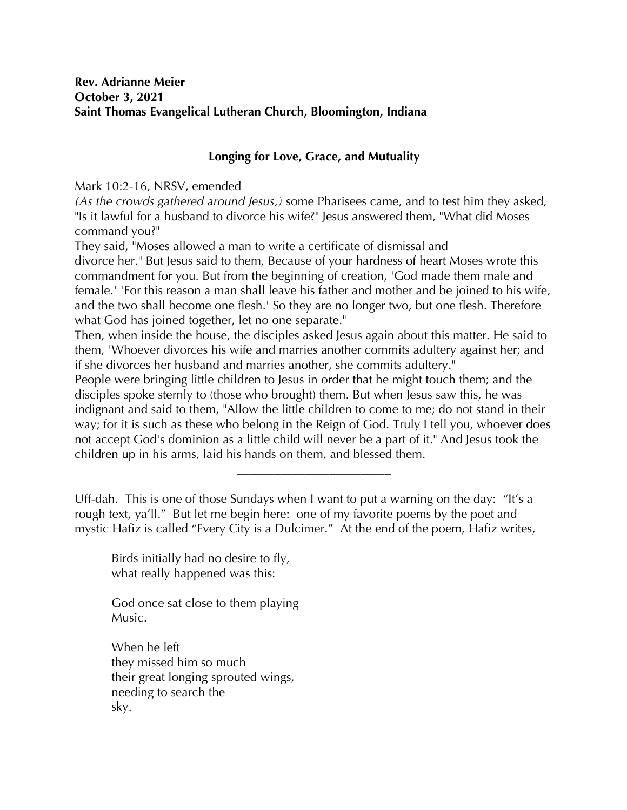## **Rev. Adrianne Meier October 3, 2021 Saint Thomas Evangelical Lutheran Church, Bloomington, Indiana**

## **Longing for Love, Grace, and Mutuality**

Mark 10:2-16, NRSV, emended

*(As the crowds gathered around Jesus,)* some Pharisees came, and to test him they asked, "Is it lawful for a husband to divorce his wife?" Jesus answered them, "What did Moses command you?"

They said, "Moses allowed a man to write a certificate of dismissal and

divorce her." But Jesus said to them, Because of your hardness of heart Moses wrote this commandment for you. But from the beginning of creation, 'God made them male and female.' 'For this reason a man shall leave his father and mother and be joined to his wife, and the two shall become one flesh.' So they are no longer two, but one flesh. Therefore what God has joined together, let no one separate."

Then, when inside the house, the disciples asked Jesus again about this matter. He said to them, 'Whoever divorces his wife and marries another commits adultery against her; and if she divorces her husband and marries another, she commits adultery."

People were bringing little children to Jesus in order that he might touch them; and the disciples spoke sternly to (those who brought) them. But when Jesus saw this, he was indignant and said to them, "Allow the little children to come to me; do not stand in their way; for it is such as these who belong in the Reign of God. Truly I tell you, whoever does not accept God's dominion as a little child will never be a part of it." And Jesus took the children up in his arms, laid his hands on them, and blessed them.

**\_\_\_\_\_\_\_\_\_\_\_\_\_\_\_\_\_\_\_\_\_\_\_\_\_**

Uff-dah. This is one of those Sundays when I want to put a warning on the day: "It's a rough text, ya'll." But let me begin here: one of my favorite poems by the poet and mystic Hafiz is called "Every City is a Dulcimer." At the end of the poem, Hafiz writes,

Birds initially had no desire to fly, what really happened was this:

God once sat close to them playing Music.

When he left they missed him so much their great longing sprouted wings, needing to search the sky.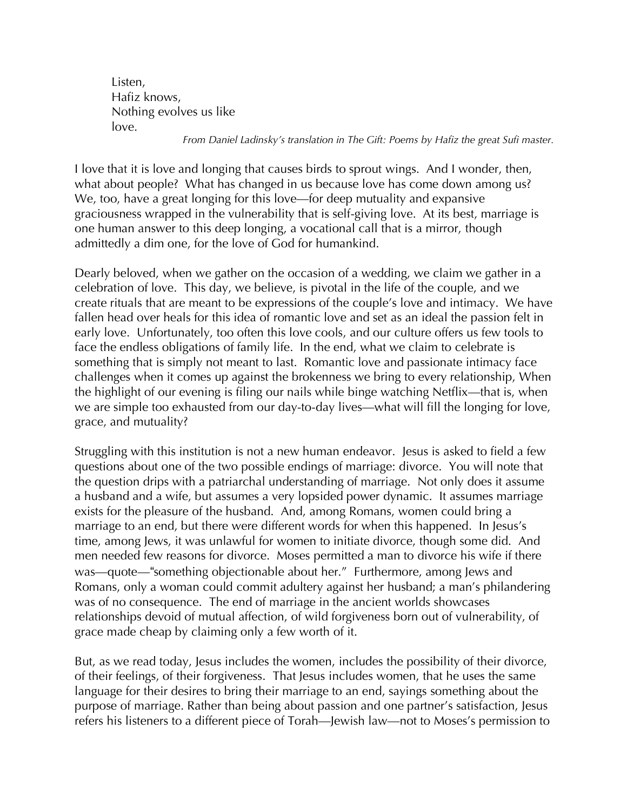Listen, Hafiz knows, Nothing evolves us like love.

*From Daniel Ladinsky's translation in The Gift: Poems by Hafiz the great Sufi master.*

I love that it is love and longing that causes birds to sprout wings. And I wonder, then, what about people? What has changed in us because love has come down among us? We, too, have a great longing for this love—for deep mutuality and expansive graciousness wrapped in the vulnerability that is self-giving love. At its best, marriage is one human answer to this deep longing, a vocational call that is a mirror, though admittedly a dim one, for the love of God for humankind.

Dearly beloved, when we gather on the occasion of a wedding, we claim we gather in a celebration of love. This day, we believe, is pivotal in the life of the couple, and we create rituals that are meant to be expressions of the couple's love and intimacy. We have fallen head over heals for this idea of romantic love and set as an ideal the passion felt in early love. Unfortunately, too often this love cools, and our culture offers us few tools to face the endless obligations of family life. In the end, what we claim to celebrate is something that is simply not meant to last. Romantic love and passionate intimacy face challenges when it comes up against the brokenness we bring to every relationship, When the highlight of our evening is filing our nails while binge watching Netflix—that is, when we are simple too exhausted from our day-to-day lives—what will fill the longing for love, grace, and mutuality?

Struggling with this institution is not a new human endeavor. Jesus is asked to field a few questions about one of the two possible endings of marriage: divorce. You will note that the question drips with a patriarchal understanding of marriage. Not only does it assume a husband and a wife, but assumes a very lopsided power dynamic. It assumes marriage exists for the pleasure of the husband. And, among Romans, women could bring a marriage to an end, but there were different words for when this happened. In Jesus's time, among Jews, it was unlawful for women to initiate divorce, though some did. And men needed few reasons for divorce. Moses permitted a man to divorce his wife if there was—quote—"something objectionable about her." Furthermore, among Jews and Romans, only a woman could commit adultery against her husband; a man's philandering was of no consequence. The end of marriage in the ancient worlds showcases relationships devoid of mutual affection, of wild forgiveness born out of vulnerability, of grace made cheap by claiming only a few worth of it.

But, as we read today, Jesus includes the women, includes the possibility of their divorce, of their feelings, of their forgiveness. That Jesus includes women, that he uses the same language for their desires to bring their marriage to an end, sayings something about the purpose of marriage. Rather than being about passion and one partner's satisfaction, Jesus refers his listeners to a different piece of Torah—Jewish law—not to Moses's permission to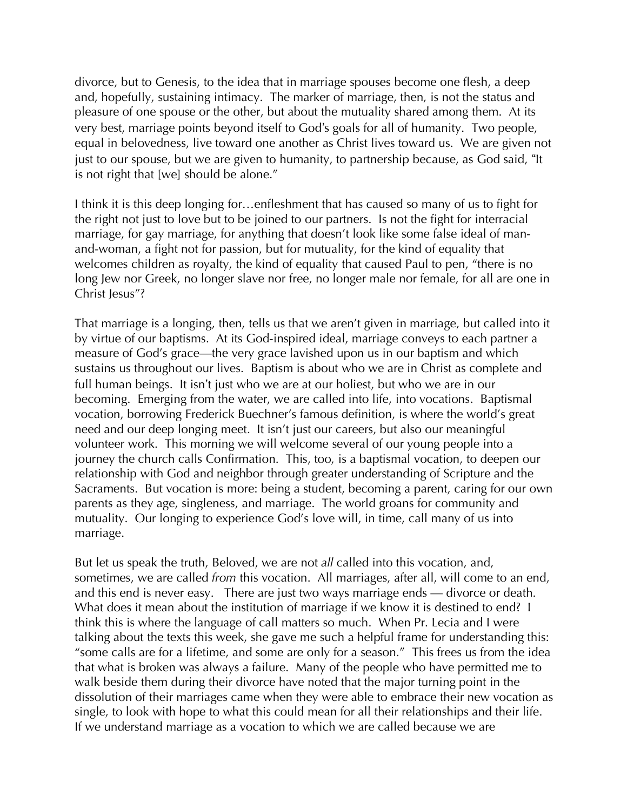divorce, but to Genesis, to the idea that in marriage spouses become one flesh, a deep and, hopefully, sustaining intimacy. The marker of marriage, then, is not the status and pleasure of one spouse or the other, but about the mutuality shared among them. At its very best, marriage points beyond itself to God"s goals for all of humanity. Two people, equal in belovedness, live toward one another as Christ lives toward us. We are given not just to our spouse, but we are given to humanity, to partnership because, as God said, "It is not right that [we] should be alone."

I think it is this deep longing for…enfleshment that has caused so many of us to fight for the right not just to love but to be joined to our partners. Is not the fight for interracial marriage, for gay marriage, for anything that doesn't look like some false ideal of manand-woman, a fight not for passion, but for mutuality, for the kind of equality that welcomes children as royalty, the kind of equality that caused Paul to pen, "there is no long Jew nor Greek, no longer slave nor free, no longer male nor female, for all are one in Christ Jesus"?

That marriage is a longing, then, tells us that we aren't given in marriage, but called into it by virtue of our baptisms. At its God-inspired ideal, marriage conveys to each partner a measure of God's grace—the very grace lavished upon us in our baptism and which sustains us throughout our lives. Baptism is about who we are in Christ as complete and full human beings. It isn't just who we are at our holiest, but who we are in our becoming. Emerging from the water, we are called into life, into vocations. Baptismal vocation, borrowing Frederick Buechner's famous definition, is where the world's great need and our deep longing meet. It isn't just our careers, but also our meaningful volunteer work. This morning we will welcome several of our young people into a journey the church calls Confirmation. This, too, is a baptismal vocation, to deepen our relationship with God and neighbor through greater understanding of Scripture and the Sacraments. But vocation is more: being a student, becoming a parent, caring for our own parents as they age, singleness, and marriage. The world groans for community and mutuality. Our longing to experience God's love will, in time, call many of us into marriage.

But let us speak the truth, Beloved, we are not *all* called into this vocation, and, sometimes, we are called *from* this vocation. All marriages, after all, will come to an end, and this end is never easy. There are just two ways marriage ends — divorce or death. What does it mean about the institution of marriage if we know it is destined to end? I think this is where the language of call matters so much. When Pr. Lecia and I were talking about the texts this week, she gave me such a helpful frame for understanding this: "some calls are for a lifetime, and some are only for a season." This frees us from the idea that what is broken was always a failure. Many of the people who have permitted me to walk beside them during their divorce have noted that the major turning point in the dissolution of their marriages came when they were able to embrace their new vocation as single, to look with hope to what this could mean for all their relationships and their life. If we understand marriage as a vocation to which we are called because we are